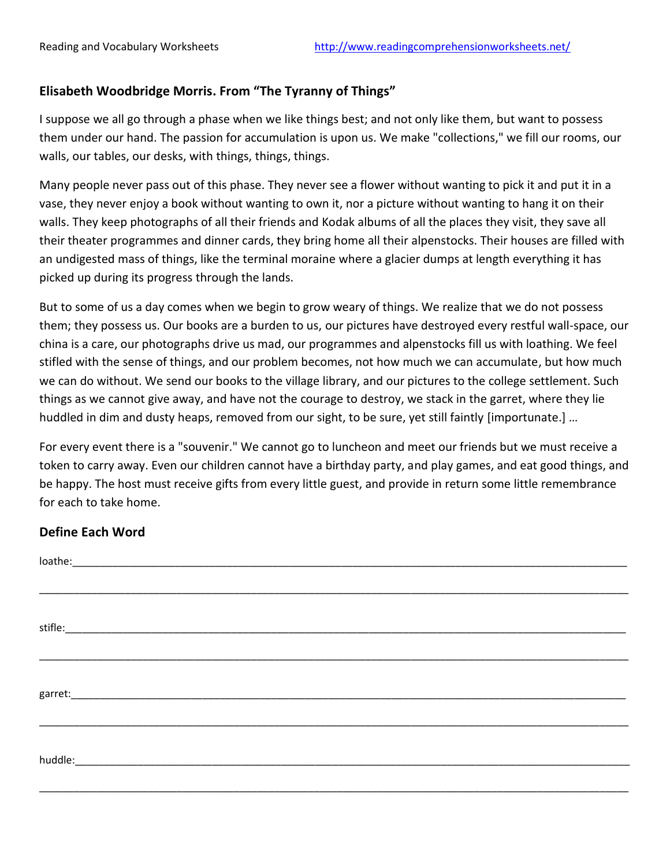## **Elisabeth Woodbridge Morris. From "The Tyranny of Things"**

I suppose we all go through a phase when we like things best; and not only like them, but want to possess them under our hand. The passion for accumulation is upon us. We make "collections," we fill our rooms, our walls, our tables, our desks, with things, things, things.

Many people never pass out of this phase. They never see a flower without wanting to pick it and put it in a vase, they never enjoy a book without wanting to own it, nor a picture without wanting to hang it on their walls. They keep photographs of all their friends and Kodak albums of all the places they visit, they save all their theater programmes and dinner cards, they bring home all their alpenstocks. Their houses are filled with an undigested mass of things, like the terminal moraine where a glacier dumps at length everything it has picked up during its progress through the lands.

But to some of us a day comes when we begin to grow weary of things. We realize that we do not possess them; they possess us. Our books are a burden to us, our pictures have destroyed every restful wall-space, our china is a care, our photographs drive us mad, our programmes and alpenstocks fill us with loathing. We feel stifled with the sense of things, and our problem becomes, not how much we can accumulate, but how much we can do without. We send our books to the village library, and our pictures to the college settlement. Such things as we cannot give away, and have not the courage to destroy, we stack in the garret, where they lie huddled in dim and dusty heaps, removed from our sight, to be sure, yet still faintly [importunate.] ...

For every event there is a "souvenir." We cannot go to luncheon and meet our friends but we must receive a token to carry away. Even our children cannot have a birthday party, and play games, and eat good things, and be happy. The host must receive gifts from every little guest, and provide in return some little remembrance for each to take home.

## **Define Each Word**

| huddle: when the contract of the contract of the contract of the contract of the contract of the contract of the contract of the contract of the contract of the contract of the contract of the contract of the contract of t |  |  |
|--------------------------------------------------------------------------------------------------------------------------------------------------------------------------------------------------------------------------------|--|--|
|                                                                                                                                                                                                                                |  |  |